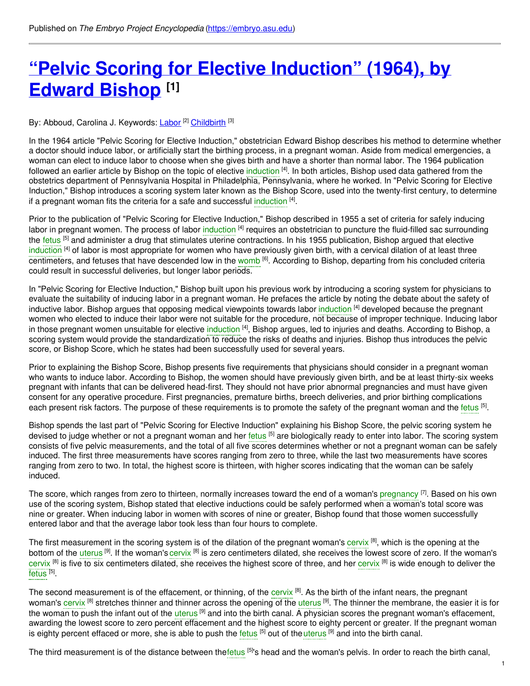# **"Pelvic Scoring for Elective [Induction"](https://embryo.asu.edu/pages/pelvic-scoring-elective-induction-1964-edward-bishop) (1964), by Edward Bishop [1]**

By: Abboud, Carolina J. Keywords: <u>[Labor](https://embryo.asu.edu/keywords/labor) [2] [Childbirth](https://embryo.asu.edu/keywords/childbirth)</u> [3]

In the 1964 article "Pelvic Scoring for Elective Induction," obstetrician Edward Bishop describes his method to determine whether a doctor should induce labor, or artificially start the birthing process, in a pregnant woman. Aside from medical emergencies, a woman can elect to induce labor to choose when she gives birth and have a shorter than normal labor. The 1964 publication followed an earlier article by Bishop on the topic of elective [induction](https://embryo.asu.edu/search?text=induction) [4]. In both articles, Bishop used data gathered from the obstetrics department of Pennsylvania Hospital in Philadelphia, Pennsylvania, where he worked. In "Pelvic Scoring for Elective Induction," Bishop introduces a scoring system later known as the Bishop Score, used into the twenty-first century, to determine if a pregnant woman fits the criteria for a safe and successful [induction](https://embryo.asu.edu/search?text=induction) <sup>[4]</sup>.

Prior to the publication of "Pelvic Scoring for Elective Induction," Bishop described in 1955 a set of criteria for safely inducing labor in pregnant women. The process of labor [induction](https://embryo.asu.edu/search?text=induction) <sup>[4]</sup> requires an obstetrician to puncture the fluid-filled sac surrounding the [fetus](https://embryo.asu.edu/search?text=fetus) <sup>[5]</sup> and administer a drug that stimulates uterine contractions. In his 1955 publication, Bishop argued that elective [induction](https://embryo.asu.edu/search?text=induction) <sup>[4]</sup> of labor is most appropriate for women who have previously given birth, with a cervical dilation of at least three centimeters, and fetuses that have descended low in the [womb](https://embryo.asu.edu/search?text=womb) <sup>[6]</sup>. According to Bishop, departing from his concluded criteria could result in successful deliveries, but longer labor periods.

In "Pelvic Scoring for Elective Induction," Bishop built upon his previous work by introducing a scoring system for physicians to evaluate the suitability of inducing labor in a pregnant woman. He prefaces the article by noting the debate about the safety of inductive labor. Bishop argues that opposing medical viewpoints towards labor [induction](https://embryo.asu.edu/search?text=induction) <sup>[4]</sup> developed because the pregnant women who elected to induce their labor were not suitable for the procedure, not because of improper technique. Inducing labor in those pregnant women unsuitable for elective [induction](https://embryo.asu.edu/search?text=induction) <sup>[4]</sup>, Bishop argues, led to injuries and deaths. According to Bishop, a scoring system would provide the standardization to reduce the risks of deaths and injuries. Bishop thus introduces the pelvic score, or Bishop Score, which he states had been successfully used for several years.

Prior to explaining the Bishop Score, Bishop presents five requirements that physicians should consider in a pregnant woman who wants to induce labor. According to Bishop, the women should have previously given birth, and be at least thirty-six weeks pregnant with infants that can be delivered head-first. They should not have prior abnormal pregnancies and must have given consent for any operative procedure. First pregnancies, premature births, breech deliveries, and prior birthing complications each present risk factors. The purpose of these requirements is to promote the safety of the pregnant woman and the [fetus](https://embryo.asu.edu/search?text=fetus) [5].

Bishop spends the last part of "Pelvic Scoring for Elective Induction" explaining his Bishop Score, the pelvic scoring system he devised to judge whether or not a pregnant woman and her [fetus](https://embryo.asu.edu/search?text=fetus) <sup>[5]</sup> are biologically ready to enter into labor. The scoring system consists of five pelvic measurements, and the total of all five scores determines whether or not a pregnant woman can be safely induced. The first three measurements have scores ranging from zero to three, while the last two measurements have scores ranging from zero to two. In total, the highest score is thirteen, with higher scores indicating that the woman can be safely induced.

The score, which ranges from zero to thirteen, normally increases toward the end of a woman's [pregnancy](https://embryo.asu.edu/search?text=pregnancy) <sup>[7]</sup>. Based on his own use of the scoring system, Bishop stated that elective inductions could be safely performed when a woman's total score was nine or greater. When inducing labor in women with scores of nine or greater, Bishop found that those women successfully entered labor and that the average labor took less than four hours to complete.

The first measurement in the scoring system is of the dilation of the pregnant woman's [cervix](https://embryo.asu.edu/search?text=cervix) [8], which is the opening at the bottom of the [uterus](https://embryo.asu.edu/search?text=uterus) <sup>[9]</sup>. If the woman's [cervix](https://embryo.asu.edu/search?text=cervix) <sup>[8]</sup> is zero centimeters dilated, she receives the lowest score of zero. If the woman's [cervix](https://embryo.asu.edu/search?text=cervix) [8] is five to six centimeters dilated, she receives the highest score of three, and her cervix [8] is wide enough to deliver the [fetus](https://embryo.asu.edu/search?text=fetus) <sup>[5]</sup>.

The second measurement is of the effacement, or thinning, of the [cervix](https://embryo.asu.edu/search?text=cervix) [8]. As the birth of the infant nears, the pregnant woman's [cervix](https://embryo.asu.edu/search?text=cervix) <sup>[8]</sup> stretches thinner and thinner across the opening of the [uterus](https://embryo.asu.edu/search?text=uterus) <sup>[9]</sup>. The thinner the membrane, the easier it is for the woman to push the infant out of the [uterus](https://embryo.asu.edu/search?text=uterus) <sup>[9]</sup> and into the birth canal. A physician scores the pregnant woman's effacement, awarding the lowest score to zero percent effacement and the highest score to eighty percent or greater. If the pregnant woman is eighty percent effaced or more, she is able to push the [fetus](https://embryo.asu.edu/search?text=fetus) [5] out of the [uterus](https://embryo.asu.edu/search?text=uterus) [9] and into the birth canal.

The third measurement is of the distance between the[fetus](https://embryo.asu.edu/search?text=fetus) <sup>[5]</sup>'s head and the woman's pelvis. In order to reach the birth canal,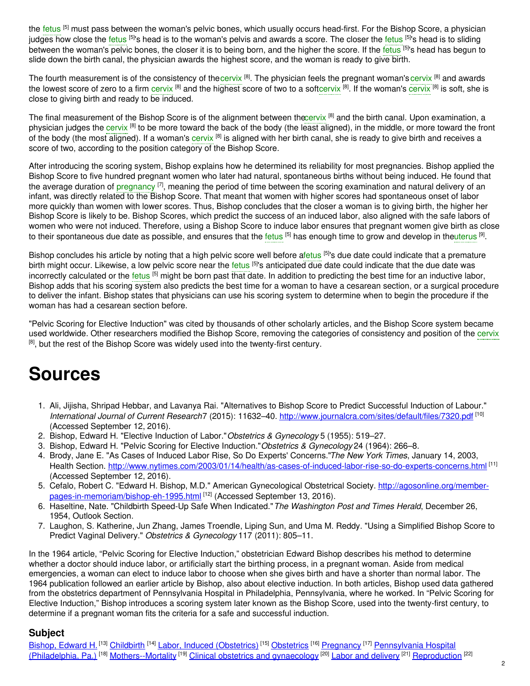the [fetus](https://embryo.asu.edu/search?text=fetus) <sup>[5]</sup> must pass between the woman's pelvic bones, which usually occurs head-first. For the Bishop Score, a physician judges how close the [fetus](https://embryo.asu.edu/search?text=fetus) <sup>[5]</sup>'s head is to the woman's pelvis and awards a score. The closer the fetus <sup>[5]</sup>'s head is to sliding between the woman's pelvic bones, the closer it is to being born, and the higher the score. If the [fetus](https://embryo.asu.edu/search?text=fetus) <sup>[5]</sup>'s head has begun to slide down the birth canal, the physician awards the highest score, and the woman is ready to give birth.

The fourth measurement is of the consistency of the[cervix](https://embryo.asu.edu/search?text=cervix) [8]. The physician feels the pregnant woman's cervix [8] and awards the lowest score of zero to a firm [cervix](https://embryo.asu.edu/search?text=cervix) <sup>[8]</sup> and the highest score of two to a sof[tcervix](https://embryo.asu.edu/search?text=cervix) <sup>[8]</sup>. If the woman's cervix <sup>[8]</sup> is soft, she is close to giving birth and ready to be induced.

The final measurement of the Bishop Score is of the alignment between th[ecervix](https://embryo.asu.edu/search?text=cervix) [8] and the birth canal. Upon examination, a physician judges the [cervix](https://embryo.asu.edu/search?text=cervix) <sup>[8]</sup> to be more toward the back of the body (the least aligned), in the middle, or more toward the front of the body (the most aligned). If a woman's [cervix](https://embryo.asu.edu/search?text=cervix) <sup>[8]</sup> is aligned with her birth canal, she is ready to give birth and receives a score of two, according to the position category of the Bishop Score.

After introducing the scoring system, Bishop explains how he determined its reliability for most pregnancies. Bishop applied the Bishop Score to five hundred pregnant women who later had natural, spontaneous births without being induced. He found that the average duration of [pregnancy](https://embryo.asu.edu/search?text=pregnancy) <sup>[7]</sup>, meaning the period of time between the scoring examination and natural delivery of an infant, was directly related to the Bishop Score. That meant that women with higher scores had spontaneous onset of labor more quickly than women with lower scores. Thus, Bishop concludes that the closer a woman is to giving birth, the higher her Bishop Score is likely to be. Bishop Scores, which predict the success of an induced labor, also aligned with the safe labors of women who were not induced. Therefore, using a Bishop Score to induce labor ensures that pregnant women give birth as close to their spontaneous due date as possible, and ensures that the [fetus](https://embryo.asu.edu/search?text=fetus) <sup>[5]</sup> has enough time to grow and develop in the<mark>uterus [9]</mark>.

Bishop concludes his article by noting that a high pelvic score well before [afetus](https://embryo.asu.edu/search?text=fetus) <sup>[5]</sup>'s due date could indicate that a premature birth might occur. Likewise, a low pelvic score near the [fetus](https://embryo.asu.edu/search?text=fetus) <sup>[5]</sup>'s anticipated due date could indicate that the due date was incorrectly calculated or the [fetus](https://embryo.asu.edu/search?text=fetus) <sup>[5]</sup> might be born past that date. In addition to predicting the best time for an inductive labor, Bishop adds that his scoring system also predicts the best time for a woman to have a cesarean section, or a surgical procedure to deliver the infant. Bishop states that physicians can use his scoring system to determine when to begin the procedure if the woman has had a cesarean section before.

"Pelvic Scoring for Elective Induction" was cited by thousands of other scholarly articles, and the Bishop Score system became used worldwide. Other researchers modified the Bishop Score, removing the categories of consistency and position of the [cervix](https://embryo.asu.edu/search?text=cervix) <sup>[8]</sup>, but the rest of the Bishop Score was widely used into the twenty-first century.

## **Sources**

- 1. Ali, Jijisha, Shripad Hebbar, and Lavanya Rai. "Alternatives to Bishop Score to Predict Successful Induction of Labour." *International Journal of Current Research*7 (2015): 11632–40. <http://www.journalcra.com/sites/default/files/7320.pdf> [10] (Accessed September 12, 2016).
- 2. Bishop, Edward H. "Elective Induction of Labor."*Obstetrics & Gynecology* 5 (1955): 519–27.
- 3. Bishop, Edward H. "Pelvic Scoring for Elective Induction."*Obstetrics & Gynecology* 24 (1964): 266–8.
- 4. Brody, Jane E. "As Cases of Induced Labor Rise, So Do Experts' Concerns."*The New York Times*, January 14, 2003, Health Section. <http://www.nytimes.com/2003/01/14/health/as-cases-of-induced-labor-rise-so-do-experts-concerns.html> <sup>[11]</sup> (Accessed September 12, 2016).
- 5. Cefalo, Robert C. "Edward H. Bishop, M.D." American Gynecological Obstetrical Society. http://agosonline.org/member[pages-in-memoriam/bishop-eh-1995.html](http://agosonline.org/member-pages-in-memoriam/bishop-eh-1995.html) [12] (Accessed September 13, 2016).
- 6. Haseltine, Nate. "Childbirth Speed-Up Safe When Indicated."*The Washington Post and Times Herald*, December 26, 1954, Outlook Section.
- 7. Laughon, S. Katherine, Jun Zhang, James Troendle, Liping Sun, and Uma M. Reddy. "Using a Simplified Bishop Score to Predict Vaginal Delivery." *Obstetrics & Gynecology* 117 (2011): 805–11.

In the 1964 article, "Pelvic Scoring for Elective Induction," obstetrician Edward Bishop describes his method to determine whether a doctor should induce labor, or artificially start the birthing process, in a pregnant woman. Aside from medical emergencies, a woman can elect to induce labor to choose when she gives birth and have a shorter than normal labor. The 1964 publication followed an earlier article by Bishop, also about elective induction. In both articles, Bishop used data gathered from the obstetrics department of Pennsylvania Hospital in Philadelphia, Pennsylvania, where he worked. In "Pelvic Scoring for Elective Induction," Bishop introduces a scoring system later known as the Bishop Score, used into the twenty-first century, to determine if a pregnant woman fits the criteria for a safe and successful induction.

#### **Subject**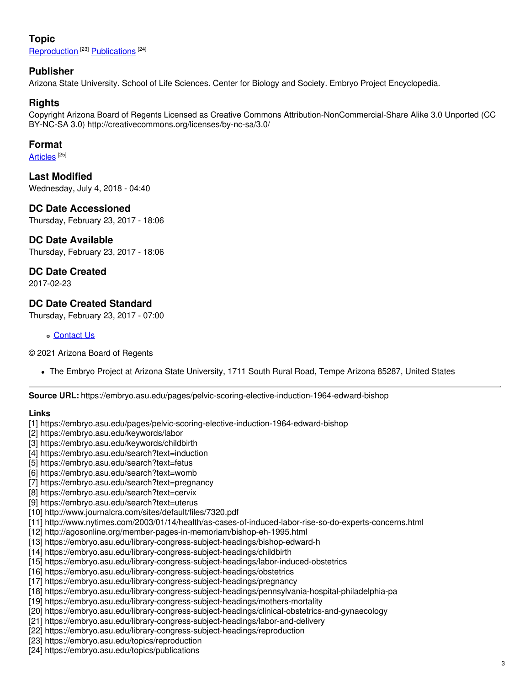## **Topic**

[Reproduction](https://embryo.asu.edu/topics/reproduction)<sup>[23]</sup> [Publications](https://embryo.asu.edu/topics/publications)<sup>[24]</sup>

#### **Publisher**

Arizona State University. School of Life Sciences. Center for Biology and Society. Embryo Project Encyclopedia.

#### **Rights**

Copyright Arizona Board of Regents Licensed as Creative Commons Attribution-NonCommercial-Share Alike 3.0 Unported (CC BY-NC-SA 3.0) http://creativecommons.org/licenses/by-nc-sa/3.0/

#### **Format**

#### [Articles](https://embryo.asu.edu/formats/articles)  $^{\left[ 25\right] }$

**Last Modified** Wednesday, July 4, 2018 - 04:40

**DC Date Accessioned** Thursday, February 23, 2017 - 18:06

## **DC Date Available**

Thursday, February 23, 2017 - 18:06

## **DC Date Created**

2017-02-23

#### **DC Date Created Standard**

Thursday, February 23, 2017 - 07:00

[Contact](https://embryo.asu.edu/contact) Us

© 2021 Arizona Board of Regents

The Embryo Project at Arizona State University, 1711 South Rural Road, Tempe Arizona 85287, United States

**Source URL:** https://embryo.asu.edu/pages/pelvic-scoring-elective-induction-1964-edward-bishop

#### **Links**

[1] https://embryo.asu.edu/pages/pelvic-scoring-elective-induction-1964-edward-bishop

- [2] https://embryo.asu.edu/keywords/labor
- [3] https://embryo.asu.edu/keywords/childbirth
- [4] https://embryo.asu.edu/search?text=induction
- [5] https://embryo.asu.edu/search?text=fetus
- [6] https://embryo.asu.edu/search?text=womb
- [7] https://embryo.asu.edu/search?text=pregnancy
- [8] https://embryo.asu.edu/search?text=cervix
- [9] https://embryo.asu.edu/search?text=uterus
- [10] http://www.journalcra.com/sites/default/files/7320.pdf
- [11] http://www.nytimes.com/2003/01/14/health/as-cases-of-induced-labor-rise-so-do-experts-concerns.html
- [12] http://agosonline.org/member-pages-in-memoriam/bishop-eh-1995.html
- [13] https://embryo.asu.edu/library-congress-subject-headings/bishop-edward-h
- [14] https://embryo.asu.edu/library-congress-subject-headings/childbirth
- [15] https://embryo.asu.edu/library-congress-subject-headings/labor-induced-obstetrics
- [16] https://embryo.asu.edu/library-congress-subject-headings/obstetrics
- [17] https://embryo.asu.edu/library-congress-subject-headings/pregnancy
- [18] https://embryo.asu.edu/library-congress-subject-headings/pennsylvania-hospital-philadelphia-pa
- [19] https://embryo.asu.edu/library-congress-subject-headings/mothers-mortality
- [20] https://embryo.asu.edu/library-congress-subject-headings/clinical-obstetrics-and-gynaecology
- [21] https://embryo.asu.edu/library-congress-subject-headings/labor-and-delivery
- [22] https://embryo.asu.edu/library-congress-subject-headings/reproduction
- [23] https://embryo.asu.edu/topics/reproduction
- [24] https://embryo.asu.edu/topics/publications